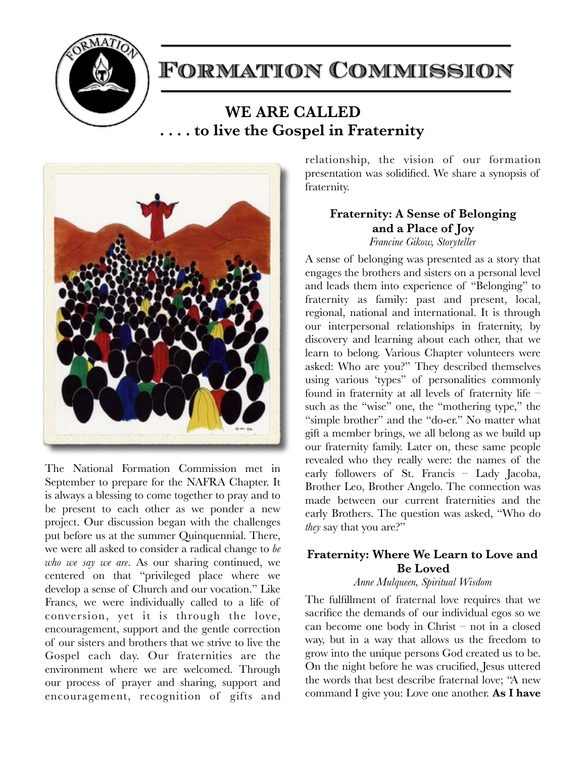

# Formation Commission

# **WE ARE CALLED . . . . to live the Gospel in Fraternity**



The National Formation Commission met in September to prepare for the NAFRA Chapter. It is always a blessing to come together to pray and to be present to each other as we ponder a new project. Our discussion began with the challenges put before us at the summer Quinquennial. There, we were all asked to consider a radical change to *be who we say we are*. As our sharing continued, we centered on that "privileged place where we develop a sense of Church and our vocation." Like Francs, we were individually called to a life of conversion, yet it is through the love, encouragement, support and the gentle correction of our sisters and brothers that we strive to live the Gospel each day. Our fraternities are the environment where we are welcomed. Through our process of prayer and sharing, support and encouragement, recognition of gifts and relationship, the vision of our formation presentation was solidified. We share a synopsis of fraternity.

# **Fraternity: A Sense of Belonging and a Place of Joy**

*Francine Gikow, Storyteller* 

A sense of belonging was presented as a story that engages the brothers and sisters on a personal level and leads them into experience of "Belonging" to fraternity as family: past and present, local, regional, national and international. It is through our interpersonal relationships in fraternity, by discovery and learning about each other, that we learn to belong. Various Chapter volunteers were asked: Who are you?" They described themselves using various 'types" of personalities commonly found in fraternity at all levels of fraternity life – such as the "wise" one, the "mothering type," the "simple brother" and the "do-er." No matter what gift a member brings, we all belong as we build up our fraternity family. Later on, these same people revealed who they really were: the names of the early followers of St. Francis – Lady Jacoba, Brother Leo, Brother Angelo. The connection was made between our current fraternities and the early Brothers. The question was asked, "Who do *they* say that you are?"

# **Fraternity: Where We Learn to Love and Be Loved**

#### *Anne Mulqueen, Spiritual Wisdom*

The fulfillment of fraternal love requires that we sacrifice the demands of our individual egos so we can become one body in Christ – not in a closed way, but in a way that allows us the freedom to grow into the unique persons God created us to be. On the night before he was crucified, Jesus uttered the words that best describe fraternal love; "A new command I give you: Love one another. **As I have**